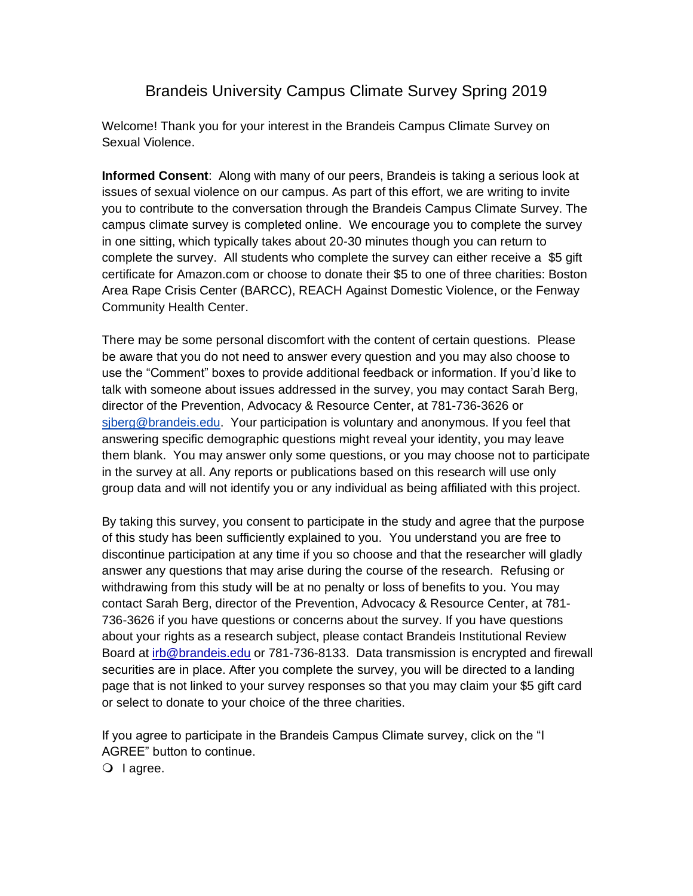## Brandeis University Campus Climate Survey Spring 2019

Welcome! Thank you for your interest in the Brandeis Campus Climate Survey on Sexual Violence.

**Informed Consent**: Along with many of our peers, Brandeis is taking a serious look at issues of sexual violence on our campus. As part of this effort, we are writing to invite you to contribute to the conversation through the Brandeis Campus Climate Survey. The campus climate survey is completed online. We encourage you to complete the survey in one sitting, which typically takes about 20-30 minutes though you can return to complete the survey. All students who complete the survey can either receive a \$5 gift certificate for Amazon.com or choose to donate their \$5 to one of three charities: Boston Area Rape Crisis Center (BARCC), REACH Against Domestic Violence, or the Fenway Community Health Center.

There may be some personal discomfort with the content of certain questions. Please be aware that you do not need to answer every question and you may also choose to use the "Comment" boxes to provide additional feedback or information. If you'd like to talk with someone about issues addressed in the survey, you may contact Sarah Berg, director of the Prevention, Advocacy & Resource Center, at 781-736-3626 or [sjberg@brandeis.edu.](mailto:sjberg@brandeis.edu) Your participation is voluntary and anonymous. If you feel that answering specific demographic questions might reveal your identity, you may leave them blank. You may answer only some questions, or you may choose not to participate in the survey at all. Any reports or publications based on this research will use only group data and will not identify you or any individual as being affiliated with this project.

By taking this survey, you consent to participate in the study and agree that the purpose of this study has been sufficiently explained to you. You understand you are free to discontinue participation at any time if you so choose and that the researcher will gladly answer any questions that may arise during the course of the research. Refusing or withdrawing from this study will be at no penalty or loss of benefits to you. You may contact Sarah Berg, director of the Prevention, Advocacy & Resource Center, at 781- 736-3626 if you have questions or concerns about the survey. If you have questions about your rights as a research subject, please contact Brandeis Institutional Review Board at [irb@brandeis.edu](mailto:irb@brandeis.edu) or 781-736-8133. Data transmission is encrypted and firewall securities are in place. After you complete the survey, you will be directed to a landing page that is not linked to your survey responses so that you may claim your \$5 gift card or select to donate to your choice of the three charities.

If you agree to participate in the Brandeis Campus Climate survey, click on the "I AGREE" button to continue.

 $\bigcirc$  lagree.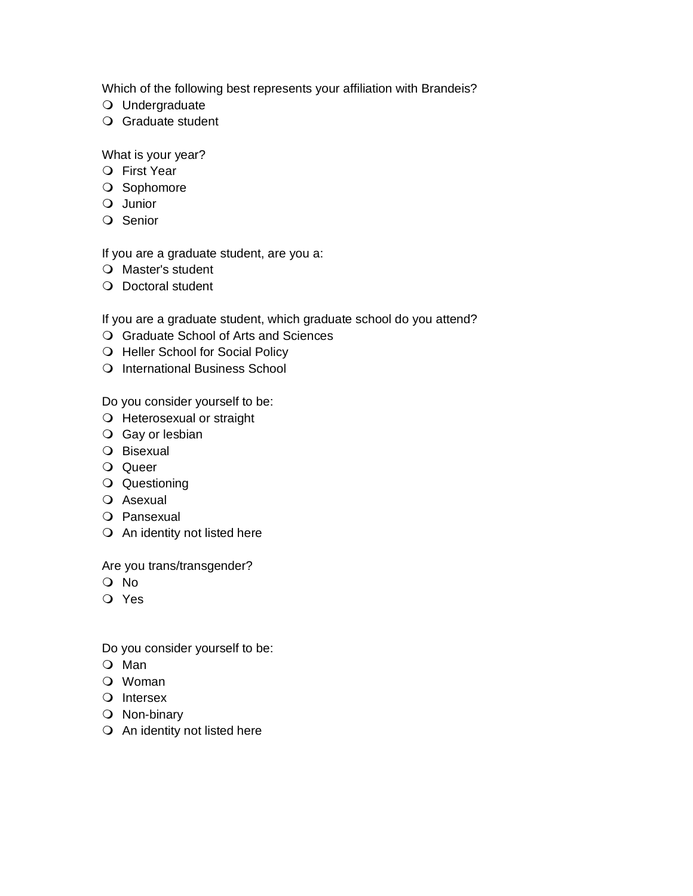Which of the following best represents your affiliation with Brandeis?

- Undergraduate
- Graduate student

What is your year?

- First Year
- O Sophomore
- Junior
- O Senior

If you are a graduate student, are you a:

- Master's student
- O Doctoral student

If you are a graduate student, which graduate school do you attend?

- Graduate School of Arts and Sciences
- O Heller School for Social Policy
- O International Business School

Do you consider yourself to be:

- O Heterosexual or straight
- O Gay or lesbian
- Bisexual
- O Queer
- Questioning
- O Asexual
- O Pansexual
- O An identity not listed here

Are you trans/transgender?

- No
- Yes

Do you consider yourself to be:

- Man
- Woman
- O Intersex
- O Non-binary
- O An identity not listed here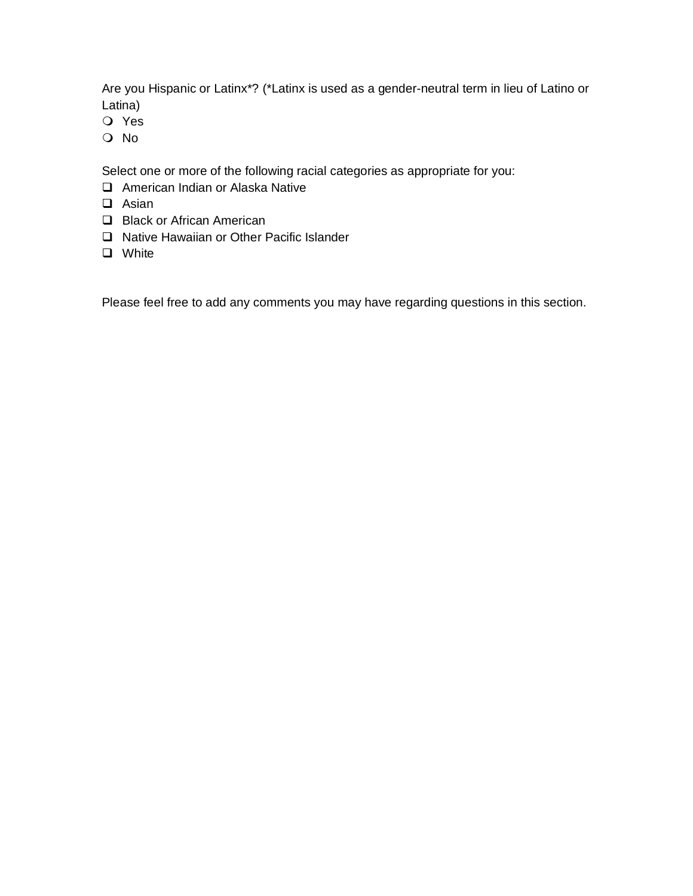Are you Hispanic or Latinx\*? (\*Latinx is used as a gender-neutral term in lieu of Latino or Latina)

- Yes
- No

Select one or more of the following racial categories as appropriate for you:

- ❑ American Indian or Alaska Native
- ❑ Asian
- ❑ Black or African American
- ❑ Native Hawaiian or Other Pacific Islander
- ❑ White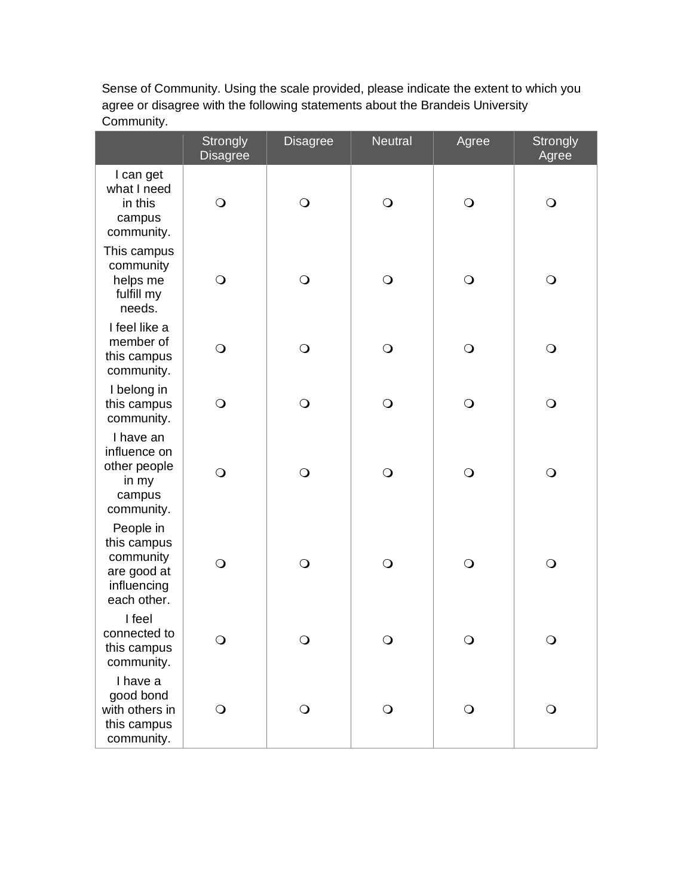Sense of Community. Using the scale provided, please indicate the extent to which you agree or disagree with the following statements about the Brandeis University Community.

|                                                                                    | Strongly<br><b>Disagree</b> | <b>Disagree</b> | <b>Neutral</b> | Agree      | <b>Strongly</b><br>Agree |
|------------------------------------------------------------------------------------|-----------------------------|-----------------|----------------|------------|--------------------------|
| I can get<br>what I need<br>in this<br>campus<br>community.                        | $\bigcirc$                  | $\bigcirc$      | $\bigcirc$     | $\bigcirc$ | $\bigcirc$               |
| This campus<br>community<br>helps me<br>fulfill my<br>needs.                       | $\bigcirc$                  | $\bigcirc$      | $\overline{O}$ | $\bigcirc$ | $\bigcirc$               |
| I feel like a<br>member of<br>this campus<br>community.                            | $\bigcirc$                  | $\bigcirc$      | $\overline{O}$ | $\bigcirc$ | $\bigcirc$               |
| I belong in<br>this campus<br>community.                                           | $\bigcirc$                  | $\bigcirc$      | $\bigcirc$     | $\bigcirc$ | $\bigcirc$               |
| I have an<br>influence on<br>other people<br>in my<br>campus<br>community.         | $\bigcirc$                  | $\bigcirc$      | $\bigcirc$     | $\bigcirc$ | $\bigcirc$               |
| People in<br>this campus<br>community<br>are good at<br>influencing<br>each other. | $\bigcirc$                  | $\bigcirc$      | $\overline{O}$ | $\bigcirc$ | $\bigcirc$               |
| I feel<br>connected to<br>this campus<br>community.                                |                             |                 |                |            | ⌒                        |
| I have a<br>good bond<br>with others in<br>this campus<br>community.               | $\mathsf{O}$                | $\bigcirc$      | $\mathsf{O}$   | $\bigcirc$ | $\mathsf{O}$             |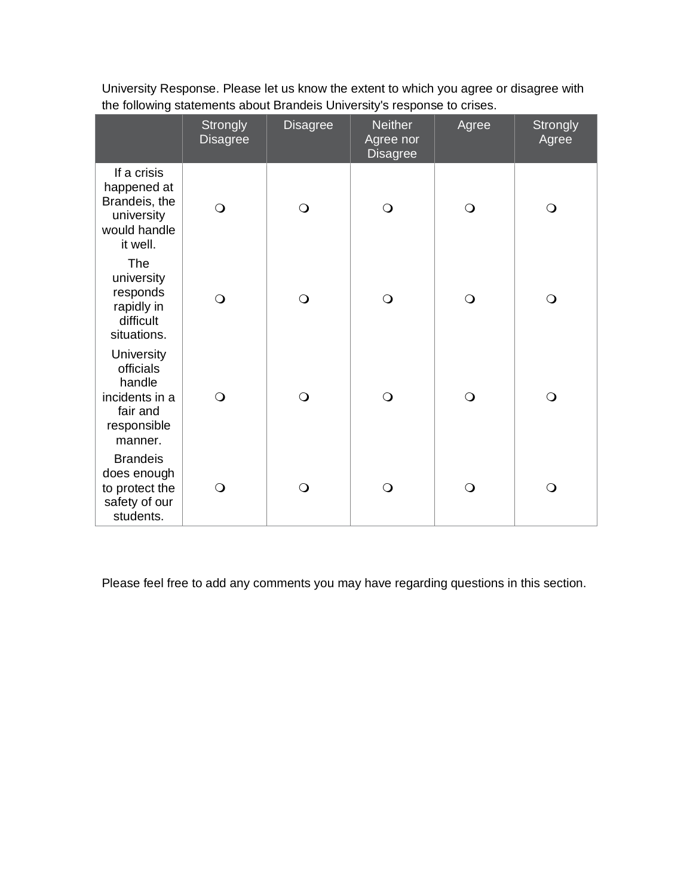|                                                                                           | Strongly<br><b>Disagree</b> | <b>Disagree</b> | <b>Neither</b><br>Agree nor<br><b>Disagree</b> | Agree          | <b>Strongly</b><br>Agree |
|-------------------------------------------------------------------------------------------|-----------------------------|-----------------|------------------------------------------------|----------------|--------------------------|
| If a crisis<br>happened at<br>Brandeis, the<br>university<br>would handle<br>it well.     | $\bigcirc$                  | $\bigcirc$      | $\bigcirc$                                     | $\bigcirc$     | $\mathsf{O}$             |
| The<br>university<br>responds<br>rapidly in<br>difficult<br>situations.                   | $\bigcirc$                  | $\overline{O}$  | $\overline{O}$                                 | $\overline{O}$ | $\bigcirc$               |
| University<br>officials<br>handle<br>incidents in a<br>fair and<br>responsible<br>manner. | $\bigcirc$                  | $\circ$         | $\bigcirc$                                     | $\bigcirc$     | $\bigcirc$               |
| <b>Brandeis</b><br>does enough<br>to protect the<br>safety of our<br>students.            | $\bigcirc$                  | $\bigcirc$      | $\bigcirc$                                     | $\bigcirc$     | $\bigcirc$               |

University Response. Please let us know the extent to which you agree or disagree with the following statements about Brandeis University's response to crises.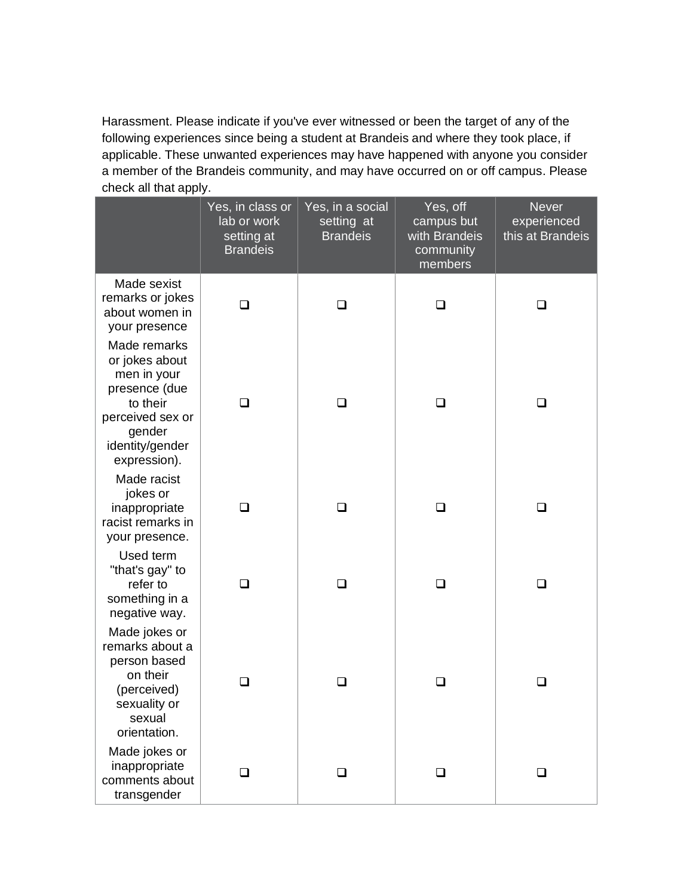Harassment. Please indicate if you've ever witnessed or been the target of any of the following experiences since being a student at Brandeis and where they took place, if applicable. These unwanted experiences may have happened with anyone you consider a member of the Brandeis community, and may have occurred on or off campus. Please check all that apply.

|                                                                                                                                             | Yes, in class or<br>lab or work<br>setting at<br><b>Brandeis</b> | Yes, in a social<br>setting at<br><b>Brandeis</b> | Yes, off<br>campus but<br>with Brandeis<br>community<br>members | <b>Never</b><br>experienced<br>this at Brandeis |
|---------------------------------------------------------------------------------------------------------------------------------------------|------------------------------------------------------------------|---------------------------------------------------|-----------------------------------------------------------------|-------------------------------------------------|
| Made sexist<br>remarks or jokes<br>about women in<br>your presence                                                                          | ◻                                                                | □                                                 | □                                                               | ◻                                               |
| Made remarks<br>or jokes about<br>men in your<br>presence (due<br>to their<br>perceived sex or<br>gender<br>identity/gender<br>expression). |                                                                  | ┓                                                 |                                                                 | ┚                                               |
| Made racist<br>jokes or<br>inappropriate<br>racist remarks in<br>your presence.                                                             | ◻                                                                | ◻                                                 | ❏                                                               | ❏                                               |
| Used term<br>"that's gay" to<br>refer to<br>something in a<br>negative way.                                                                 | ❏                                                                | $\Box$                                            | □                                                               | ❏                                               |
| Made jokes or<br>remarks about a<br>person based<br>on their<br>(perceived)<br>sexuality or<br>sexual<br>orientation.                       | ❏                                                                | □                                                 | ❏                                                               | ❏                                               |
| Made jokes or<br>inappropriate<br>comments about<br>transgender                                                                             | $\Box$                                                           | ❏                                                 | $\Box$                                                          | $\Box$                                          |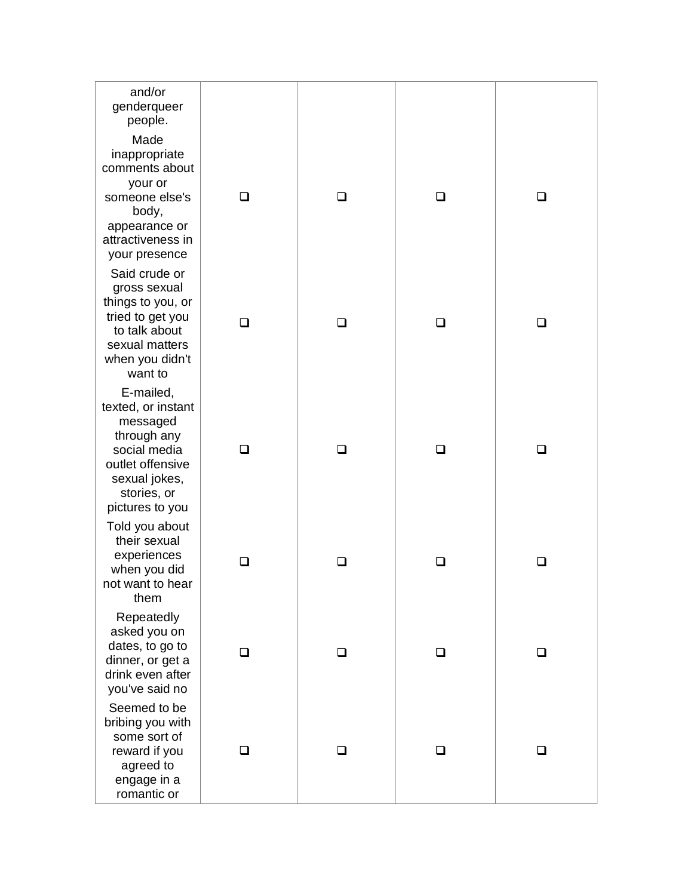| and/or<br>genderqueer<br>people.                                                                                                                  |   |        |   |   |
|---------------------------------------------------------------------------------------------------------------------------------------------------|---|--------|---|---|
| Made<br>inappropriate<br>comments about<br>your or<br>someone else's<br>body,<br>appearance or<br>attractiveness in<br>your presence              |   | $\Box$ |   |   |
| Said crude or<br>gross sexual<br>things to you, or<br>tried to get you<br>to talk about<br>sexual matters<br>when you didn't<br>want to           | □ | □      | ◻ | □ |
| E-mailed,<br>texted, or instant<br>messaged<br>through any<br>social media<br>outlet offensive<br>sexual jokes,<br>stories, or<br>pictures to you | □ | □      | □ | □ |
| Told you about<br>their sexual<br>experiences<br>when you did<br>not want to hear<br>them                                                         | ⊓ | □      | □ | □ |
| Repeatedly<br>asked you on<br>dates, to go to<br>dinner, or get a<br>drink even after<br>you've said no                                           | H | □      | ப | ப |
| Seemed to be<br>bribing you with<br>some sort of<br>reward if you<br>agreed to<br>engage in a<br>romantic or                                      | ⊓ | □      | □ | ⊓ |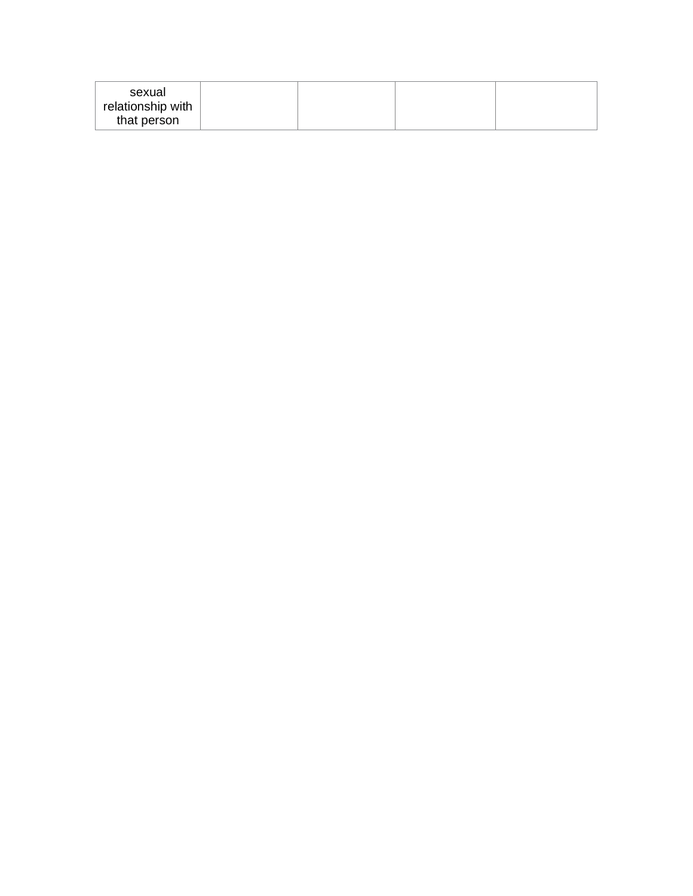| sexual<br>relationship with |  |  |
|-----------------------------|--|--|
| that person                 |  |  |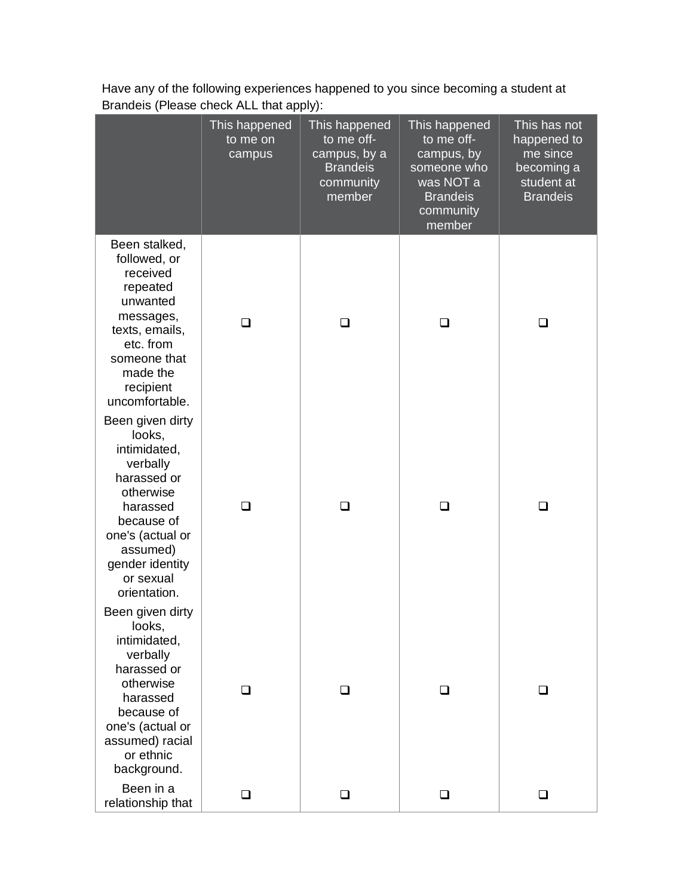|                                                                                                                                                                                              | This happened<br>to me on<br>campus | This happened<br>to me off-<br>campus, by a<br><b>Brandeis</b><br>community<br>member | This happened<br>to me off-<br>campus, by<br>someone who<br>was NOT a<br><b>Brandeis</b><br>community<br>member | This has not<br>happened to<br>me since<br>becoming a<br>student at<br><b>Brandeis</b> |
|----------------------------------------------------------------------------------------------------------------------------------------------------------------------------------------------|-------------------------------------|---------------------------------------------------------------------------------------|-----------------------------------------------------------------------------------------------------------------|----------------------------------------------------------------------------------------|
| Been stalked,<br>followed, or<br>received<br>repeated<br>unwanted<br>messages,<br>texts, emails,<br>etc. from<br>someone that<br>made the<br>recipient<br>uncomfortable.                     | □                                   | ❏                                                                                     | □                                                                                                               | ❏                                                                                      |
| Been given dirty<br>looks,<br>intimidated,<br>verbally<br>harassed or<br>otherwise<br>harassed<br>because of<br>one's (actual or<br>assumed)<br>gender identity<br>or sexual<br>orientation. | ◻                                   | □                                                                                     | ◻                                                                                                               | ❏                                                                                      |
| Been given dirty<br>looks,<br>intimidated,<br>verbally<br>harassed or<br>otherwise<br>harassed<br>because of<br>one's (actual or<br>assumed) racial<br>or ethnic<br>background.              | ◻                                   | □                                                                                     | □                                                                                                               | □                                                                                      |
| Been in a<br>relationship that                                                                                                                                                               | ❏                                   | ❏                                                                                     | ❏                                                                                                               | ❏                                                                                      |

Have any of the following experiences happened to you since becoming a student at Brandeis (Please check ALL that apply):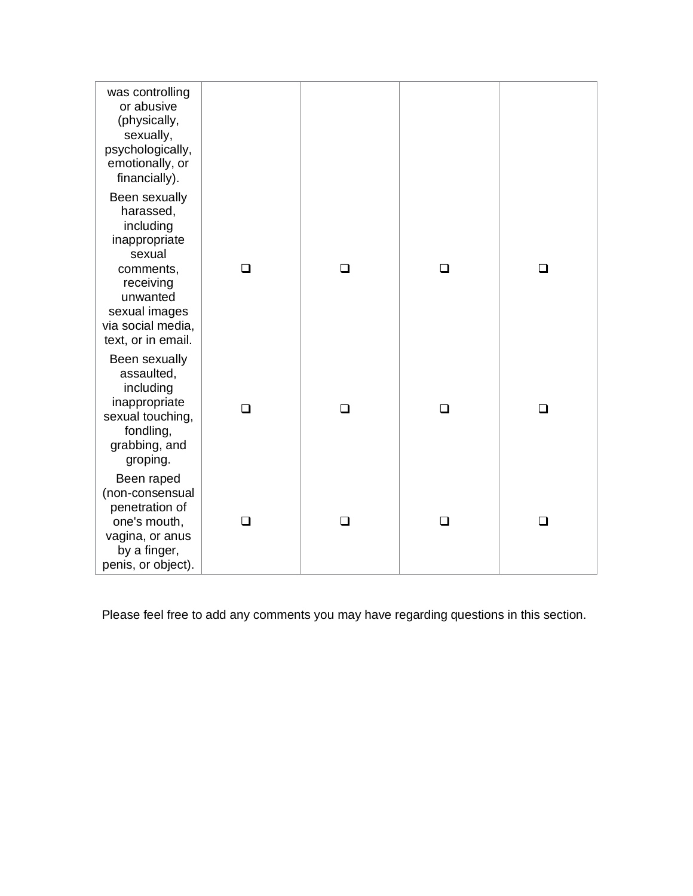| was controlling<br>or abusive<br>(physically,<br>sexually,<br>psychologically,<br>emotionally, or                                                                                     |        |          |        |   |
|---------------------------------------------------------------------------------------------------------------------------------------------------------------------------------------|--------|----------|--------|---|
| financially).<br>Been sexually<br>harassed,<br>including<br>inappropriate<br>sexual<br>comments,<br>receiving<br>unwanted<br>sexual images<br>via social media,<br>text, or in email. | ◻      | <b>□</b> | $\Box$ | □ |
| Been sexually<br>assaulted,<br>including<br>inappropriate<br>sexual touching,<br>fondling,<br>grabbing, and<br>groping.                                                               | □      | □        | ❏      | n |
| Been raped<br>(non-consensual<br>penetration of<br>one's mouth,<br>vagina, or anus<br>by a finger,<br>penis, or object).                                                              | $\Box$ | ∩        | ◻      | □ |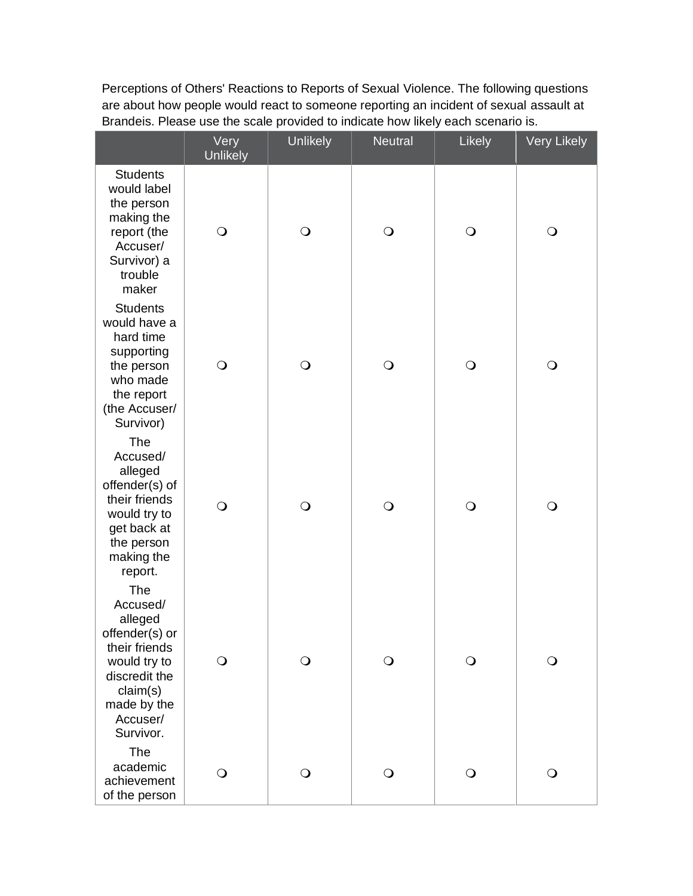Perceptions of Others' Reactions to Reports of Sexual Violence. The following questions are about how people would react to someone reporting an incident of sexual assault at Brandeis. Please use the scale provided to indicate how likely each scenario is.

|                                                                                                                                                    | Very<br><b>Unlikely</b> | <b>Unlikely</b> | <b>Neutral</b> | Likely     | <b>Very Likely</b> |
|----------------------------------------------------------------------------------------------------------------------------------------------------|-------------------------|-----------------|----------------|------------|--------------------|
| <b>Students</b><br>would label<br>the person<br>making the<br>report (the<br>Accuser/<br>Survivor) a<br>trouble<br>maker                           | $\bigcirc$              | $\bigcirc$      | $\bigcirc$     | $\bigcirc$ | $\bigcirc$         |
| <b>Students</b><br>would have a<br>hard time<br>supporting<br>the person<br>who made<br>the report<br>(the Accuser/<br>Survivor)                   | $\bigcirc$              | $\bigcirc$      | $\bigcirc$     | $\bigcirc$ | $\bigcirc$         |
| The<br>Accused/<br>alleged<br>offender(s) of<br>their friends<br>would try to<br>get back at<br>the person<br>making the<br>report.                | $\bigcirc$              | $\bigcirc$      | $\bigcirc$     | $\bigcirc$ | $\bigcirc$         |
| The<br>Accused/<br>alleged<br>offender(s) or<br>their friends<br>would try to<br>discredit the<br>claim(s)<br>made by the<br>Accuser/<br>Survivor. | $\bigcirc$              | $\mathbf{O}$    | $\bigcirc$     | $\bigcirc$ | $\bigcirc$         |
| The<br>academic<br>achievement<br>of the person                                                                                                    | $\bigcirc$              | $\circ$         | $\bigcirc$     | $\bigcirc$ | $\bigcirc$         |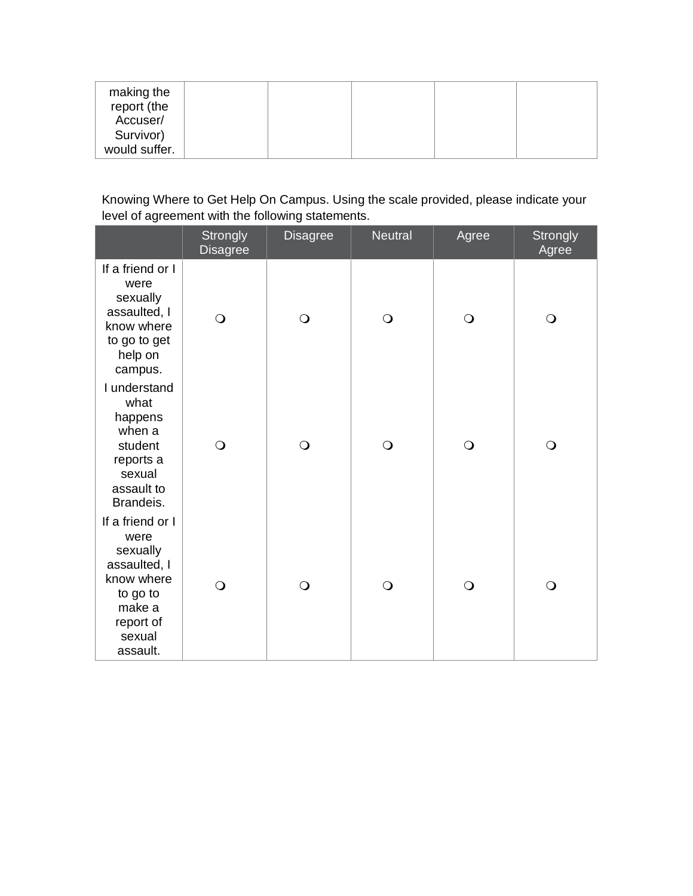| making the<br>report (the<br>Accuser/ |  |  |  |
|---------------------------------------|--|--|--|
| Survivor)<br>would suffer.            |  |  |  |

## Knowing Where to Get Help On Campus. Using the scale provided, please indicate your level of agreement with the following statements.

|                                                                                                                             | Strongly<br><b>Disagree</b> | <b>Disagree</b> | <b>Neutral</b> | Agree      | <b>Strongly</b><br>Agree |
|-----------------------------------------------------------------------------------------------------------------------------|-----------------------------|-----------------|----------------|------------|--------------------------|
| If a friend or I<br>were<br>sexually<br>assaulted, I<br>know where<br>to go to get<br>help on<br>campus.                    | $\bigcirc$                  | $\bigcirc$      | $\bigcirc$     | $\bigcirc$ | $\bigcirc$               |
| I understand<br>what<br>happens<br>when a<br>student<br>reports a<br>sexual<br>assault to<br>Brandeis.                      | $\bigcirc$                  | $\bigcirc$      | $\bigcirc$     | $\bigcirc$ | $\bigcirc$               |
| If a friend or I<br>were<br>sexually<br>assaulted, I<br>know where<br>to go to<br>make a<br>report of<br>sexual<br>assault. | $\bigcirc$                  | $\bigcirc$      | $\bigcirc$     | $\bigcirc$ | $\bigcirc$               |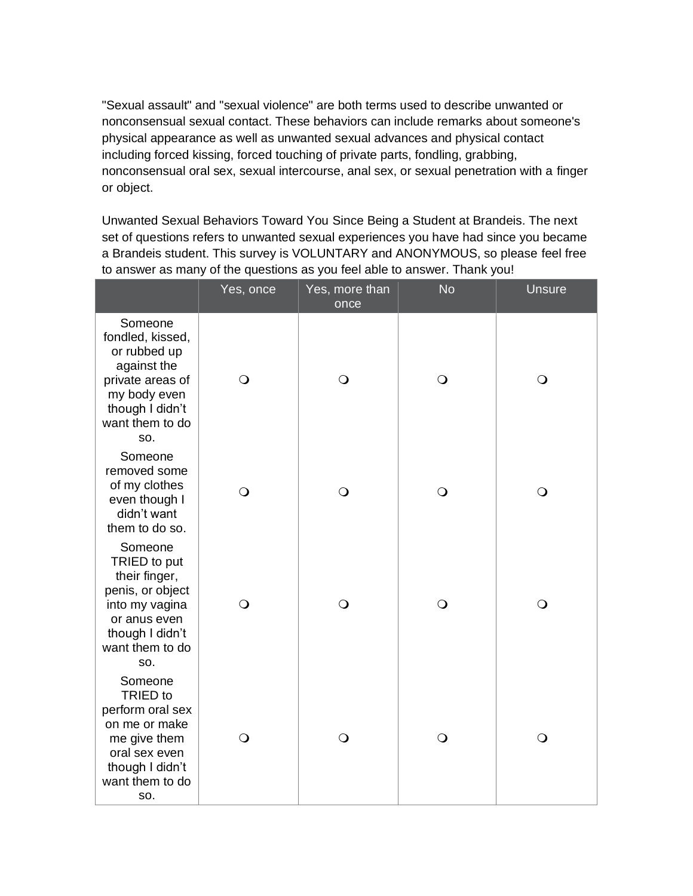"Sexual assault" and "sexual violence" are both terms used to describe unwanted or nonconsensual sexual contact. These behaviors can include remarks about someone's physical appearance as well as unwanted sexual advances and physical contact including forced kissing, forced touching of private parts, fondling, grabbing, nonconsensual oral sex, sexual intercourse, anal sex, or sexual penetration with a finger or object.

Unwanted Sexual Behaviors Toward You Since Being a Student at Brandeis. The next set of questions refers to unwanted sexual experiences you have had since you became a Brandeis student. This survey is VOLUNTARY and ANONYMOUS, so please feel free to answer as many of the questions as you feel able to answer. Thank you!

|                                                                                                                                             | Yes, once    | Yes, more than<br>once | <b>No</b>  | <b>Unsure</b> |
|---------------------------------------------------------------------------------------------------------------------------------------------|--------------|------------------------|------------|---------------|
| Someone<br>fondled, kissed,<br>or rubbed up<br>against the<br>private areas of<br>my body even<br>though I didn't<br>want them to do<br>SO. | $\mathsf{O}$ | $\bigcirc$             | $\bigcirc$ | $\bigcirc$    |
| Someone<br>removed some<br>of my clothes<br>even though I<br>didn't want<br>them to do so.                                                  | $\bigcirc$   | $\bigcirc$             | $\bigcirc$ | $\bigcirc$    |
| Someone<br>TRIED to put<br>their finger,<br>penis, or object<br>into my vagina<br>or anus even<br>though I didn't<br>want them to do<br>SO. | $\bigcirc$   | $\bigcirc$             | $\bigcirc$ | $\bigcirc$    |
| Someone<br>TRIED to<br>perform oral sex<br>on me or make<br>me give them<br>oral sex even<br>though I didn't<br>want them to do<br>SO.      | $\bigcirc$   | $\bigcirc$             | $\bigcirc$ | $\bigcirc$    |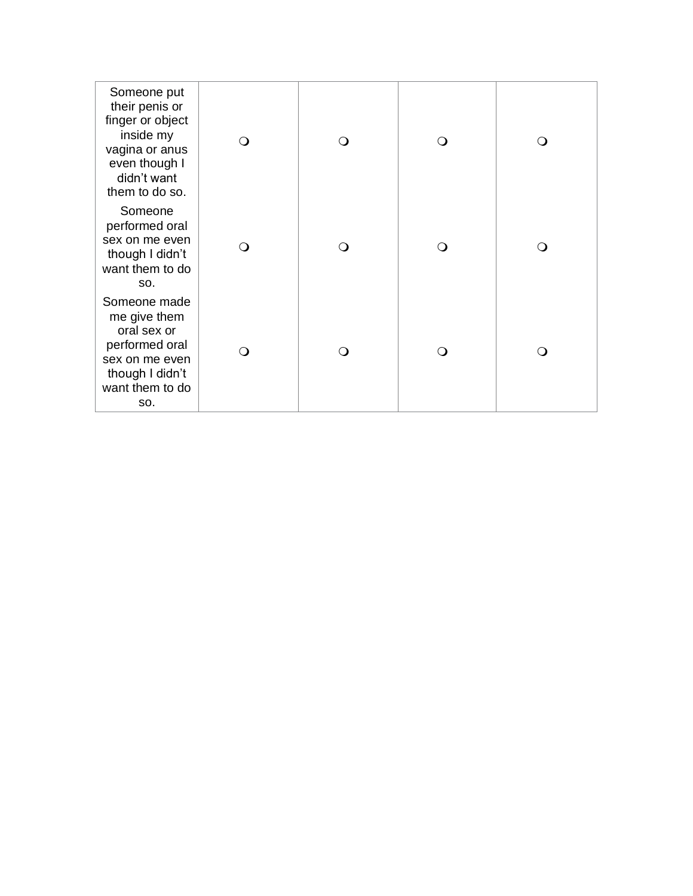| Someone put<br>their penis or<br>finger or object<br>inside my<br>vagina or anus<br>even though I<br>didn't want<br>them to do so. | ○   |  | $\left( \right)$ |
|------------------------------------------------------------------------------------------------------------------------------------|-----|--|------------------|
| Someone<br>performed oral<br>sex on me even<br>though I didn't<br>want them to do<br>SO.                                           | ∩   |  | ∩                |
| Someone made<br>me give them<br>oral sex or<br>performed oral<br>sex on me even<br>though I didn't<br>want them to do<br>SO.       | ∩ ) |  | ∩                |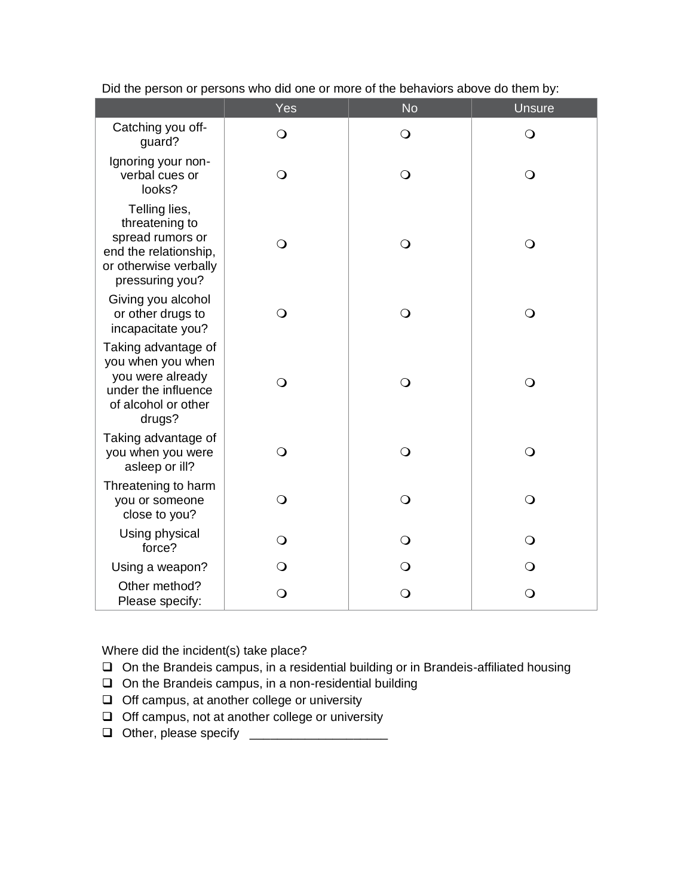|                                                                                                                          | Yes          | <b>No</b>  | <b>Unsure</b> |
|--------------------------------------------------------------------------------------------------------------------------|--------------|------------|---------------|
| Catching you off-<br>guard?                                                                                              | $\bigcirc$   | $\bigcirc$ | $\bigcirc$    |
| Ignoring your non-<br>verbal cues or<br>looks?                                                                           | $\mathsf{O}$ | $\bigcirc$ | $\mathsf{O}$  |
| Telling lies,<br>threatening to<br>spread rumors or<br>end the relationship,<br>or otherwise verbally<br>pressuring you? | $\bigcirc$   | $\bigcirc$ | $\bigcirc$    |
| Giving you alcohol<br>or other drugs to<br>incapacitate you?                                                             | $\mathsf{O}$ | $\bigcirc$ | $\bigcirc$    |
| Taking advantage of<br>you when you when<br>you were already<br>under the influence<br>of alcohol or other<br>drugs?     | $\bigcirc$   | $\bigcirc$ | $\bigcirc$    |
| Taking advantage of<br>you when you were<br>asleep or ill?                                                               | $\Omega$     | $\bigcirc$ | $\bigcirc$    |
| Threatening to harm<br>you or someone<br>close to you?                                                                   | $\bigcirc$   | $\bigcirc$ | $\bigcirc$    |
| Using physical<br>force?                                                                                                 | $\bigcirc$   | $\bigcirc$ | $\bigcirc$    |
| Using a weapon?                                                                                                          | $\bigcirc$   | $\circ$    | $\bigcirc$    |
| Other method?<br>Please specify:                                                                                         | $\bigcirc$   | $\bigcirc$ | $\bigcirc$    |

Did the person or persons who did one or more of the behaviors above do them by:

Where did the incident(s) take place?

- ❑ On the Brandeis campus, in a residential building or in Brandeis-affiliated housing
- ❑ On the Brandeis campus, in a non-residential building
- ❑ Off campus, at another college or university
- ❑ Off campus, not at another college or university
- ❑ Other, please specify \_\_\_\_\_\_\_\_\_\_\_\_\_\_\_\_\_\_\_\_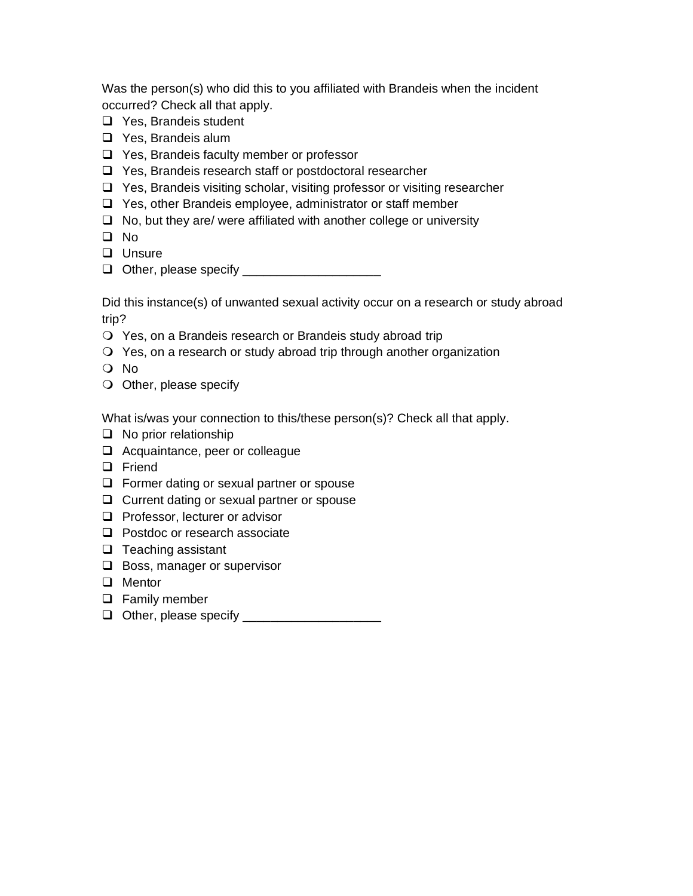Was the person(s) who did this to you affiliated with Brandeis when the incident occurred? Check all that apply.

- ❑ Yes, Brandeis student
- ❑ Yes, Brandeis alum
- ❑ Yes, Brandeis faculty member or professor
- ❑ Yes, Brandeis research staff or postdoctoral researcher
- ❑ Yes, Brandeis visiting scholar, visiting professor or visiting researcher
- ❑ Yes, other Brandeis employee, administrator or staff member
- ❑ No, but they are/ were affiliated with another college or university
- ❑ No
- ❑ Unsure
- ❑ Other, please specify \_\_\_\_\_\_\_\_\_\_\_\_\_\_\_\_\_\_\_\_

Did this instance(s) of unwanted sexual activity occur on a research or study abroad trip?

- Yes, on a Brandeis research or Brandeis study abroad trip
- Yes, on a research or study abroad trip through another organization
- No
- O Other, please specify

What is/was your connection to this/these person(s)? Check all that apply.

- ❑ No prior relationship
- ❑ Acquaintance, peer or colleague
- ❑ Friend
- ❑ Former dating or sexual partner or spouse
- ❑ Current dating or sexual partner or spouse
- ❑ Professor, lecturer or advisor
- ❑ Postdoc or research associate
- ❑ Teaching assistant
- ❑ Boss, manager or supervisor
- ❑ Mentor
- ❑ Family member
- ❑ Other, please specify \_\_\_\_\_\_\_\_\_\_\_\_\_\_\_\_\_\_\_\_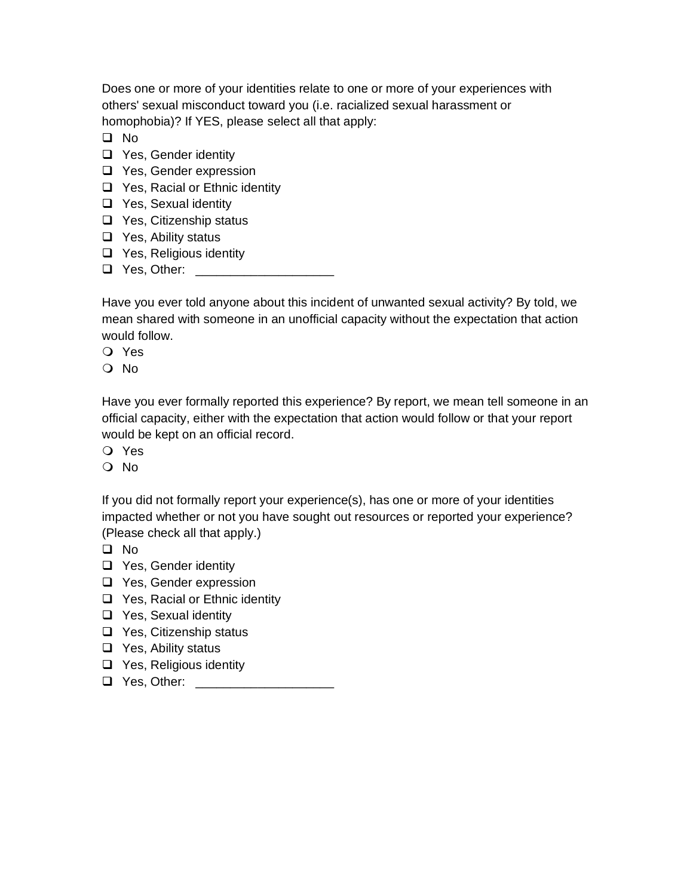Does one or more of your identities relate to one or more of your experiences with others' sexual misconduct toward you (i.e. racialized sexual harassment or homophobia)? If YES, please select all that apply:

❑ No

- ❑ Yes, Gender identity
- ❑ Yes, Gender expression
- ❑ Yes, Racial or Ethnic identity
- ❑ Yes, Sexual identity
- ❑ Yes, Citizenship status
- ❑ Yes, Ability status
- ❑ Yes, Religious identity
- ❑ Yes, Other: \_\_\_\_\_\_\_\_\_\_\_\_\_\_\_\_\_\_\_\_

Have you ever told anyone about this incident of unwanted sexual activity? By told, we mean shared with someone in an unofficial capacity without the expectation that action would follow.

Yes

No

Have you ever formally reported this experience? By report, we mean tell someone in an official capacity, either with the expectation that action would follow or that your report would be kept on an official record.

- Yes
- No

If you did not formally report your experience(s), has one or more of your identities impacted whether or not you have sought out resources or reported your experience? (Please check all that apply.)

- ❑ No
- ❑ Yes, Gender identity
- ❑ Yes, Gender expression
- ❑ Yes, Racial or Ethnic identity
- ❑ Yes, Sexual identity
- ❑ Yes, Citizenship status
- ❑ Yes, Ability status
- ❑ Yes, Religious identity
- ❑ Yes, Other: \_\_\_\_\_\_\_\_\_\_\_\_\_\_\_\_\_\_\_\_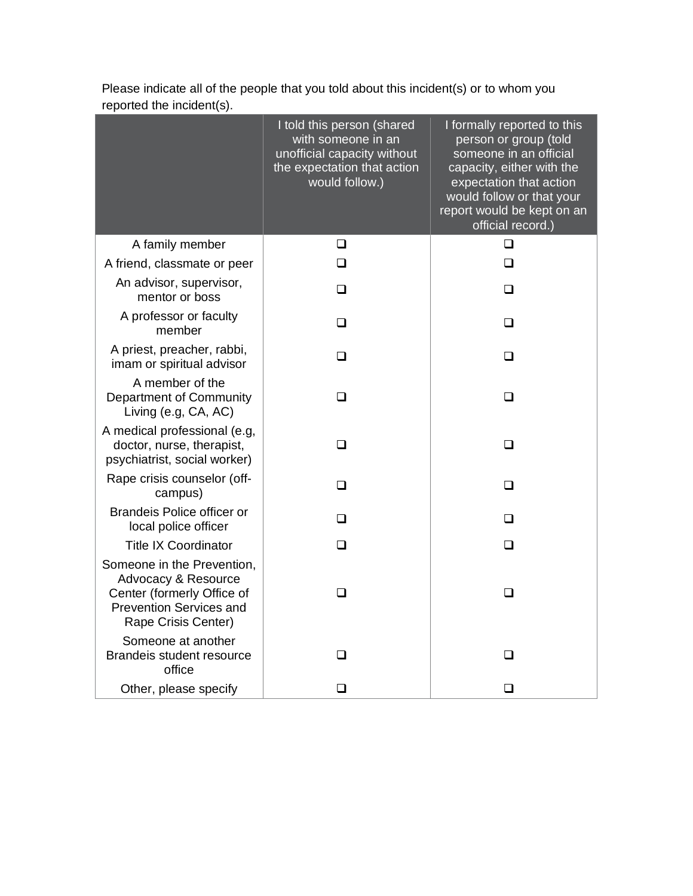|                                                                                                                                          | I told this person (shared<br>with someone in an<br>unofficial capacity without<br>the expectation that action<br>would follow.) | I formally reported to this<br>person or group (told<br>someone in an official<br>capacity, either with the<br>expectation that action<br>would follow or that your<br>report would be kept on an<br>official record.) |
|------------------------------------------------------------------------------------------------------------------------------------------|----------------------------------------------------------------------------------------------------------------------------------|------------------------------------------------------------------------------------------------------------------------------------------------------------------------------------------------------------------------|
| A family member                                                                                                                          | ❏                                                                                                                                | ❏                                                                                                                                                                                                                      |
| A friend, classmate or peer                                                                                                              | ❏                                                                                                                                | ❏                                                                                                                                                                                                                      |
| An advisor, supervisor,<br>mentor or boss                                                                                                | □                                                                                                                                | □                                                                                                                                                                                                                      |
| A professor or faculty<br>member                                                                                                         | ❏                                                                                                                                | ❏                                                                                                                                                                                                                      |
| A priest, preacher, rabbi,<br>imam or spiritual advisor                                                                                  | ❏                                                                                                                                | ❏                                                                                                                                                                                                                      |
| A member of the<br>Department of Community<br>Living (e.g, CA, AC)                                                                       | ❏                                                                                                                                | $\Box$                                                                                                                                                                                                                 |
| A medical professional (e.g,<br>doctor, nurse, therapist,<br>psychiatrist, social worker)                                                | $\Box$                                                                                                                           | □                                                                                                                                                                                                                      |
| Rape crisis counselor (off-<br>campus)                                                                                                   | □                                                                                                                                | □                                                                                                                                                                                                                      |
| <b>Brandeis Police officer or</b><br>local police officer                                                                                | □                                                                                                                                | $\Box$                                                                                                                                                                                                                 |
| <b>Title IX Coordinator</b>                                                                                                              | ◻                                                                                                                                | ❏                                                                                                                                                                                                                      |
| Someone in the Prevention,<br>Advocacy & Resource<br>Center (formerly Office of<br><b>Prevention Services and</b><br>Rape Crisis Center) | ❏                                                                                                                                | ❏                                                                                                                                                                                                                      |
| Someone at another<br>Brandeis student resource<br>office                                                                                | □                                                                                                                                | □                                                                                                                                                                                                                      |
| Other, please specify                                                                                                                    | $\Box$                                                                                                                           | □                                                                                                                                                                                                                      |

Please indicate all of the people that you told about this incident(s) or to whom you reported the incident(s).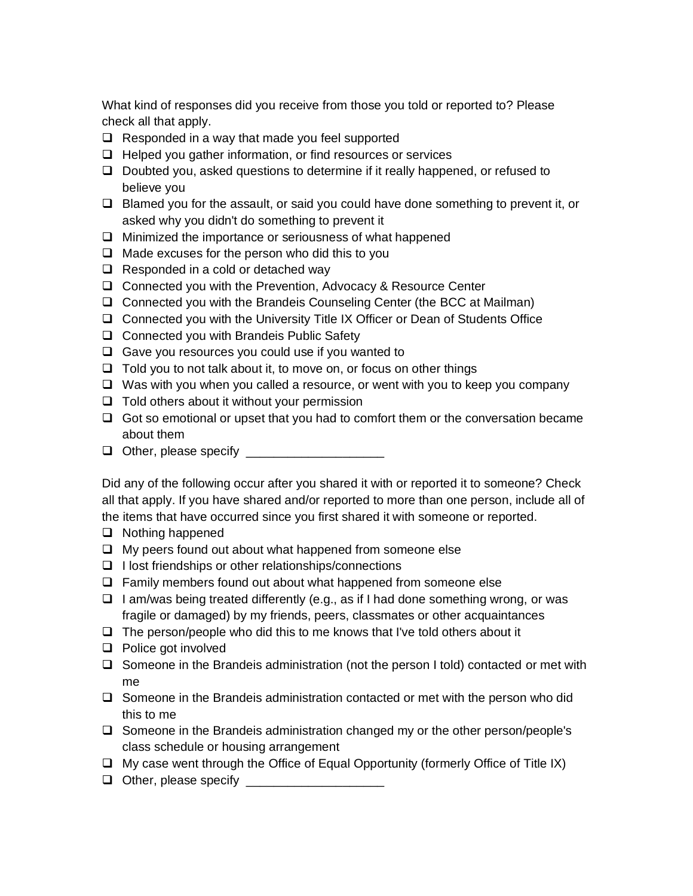What kind of responses did you receive from those you told or reported to? Please check all that apply.

- ❑ Responded in a way that made you feel supported
- ❑ Helped you gather information, or find resources or services
- ❑ Doubted you, asked questions to determine if it really happened, or refused to believe you
- ❑ Blamed you for the assault, or said you could have done something to prevent it, or asked why you didn't do something to prevent it
- ❑ Minimized the importance or seriousness of what happened
- ❑ Made excuses for the person who did this to you
- ❑ Responded in a cold or detached way
- ❑ Connected you with the Prevention, Advocacy & Resource Center
- ❑ Connected you with the Brandeis Counseling Center (the BCC at Mailman)
- ❑ Connected you with the University Title IX Officer or Dean of Students Office
- ❑ Connected you with Brandeis Public Safety
- ❑ Gave you resources you could use if you wanted to
- ❑ Told you to not talk about it, to move on, or focus on other things
- ❑ Was with you when you called a resource, or went with you to keep you company
- ❑ Told others about it without your permission
- ❑ Got so emotional or upset that you had to comfort them or the conversation became about them
- ❑ Other, please specify \_\_\_\_\_\_\_\_\_\_\_\_\_\_\_\_\_\_\_\_

Did any of the following occur after you shared it with or reported it to someone? Check all that apply. If you have shared and/or reported to more than one person, include all of the items that have occurred since you first shared it with someone or reported.

- ❑ Nothing happened
- ❑ My peers found out about what happened from someone else
- ❑ I lost friendships or other relationships/connections
- ❑ Family members found out about what happened from someone else
- ❑ I am/was being treated differently (e.g., as if I had done something wrong, or was fragile or damaged) by my friends, peers, classmates or other acquaintances
- ❑ The person/people who did this to me knows that I've told others about it
- ❑ Police got involved
- ❑ Someone in the Brandeis administration (not the person I told) contacted or met with me
- ❑ Someone in the Brandeis administration contacted or met with the person who did this to me
- ❑ Someone in the Brandeis administration changed my or the other person/people's class schedule or housing arrangement
- ❑ My case went through the Office of Equal Opportunity (formerly Office of Title IX)
- ❑ Other, please specify \_\_\_\_\_\_\_\_\_\_\_\_\_\_\_\_\_\_\_\_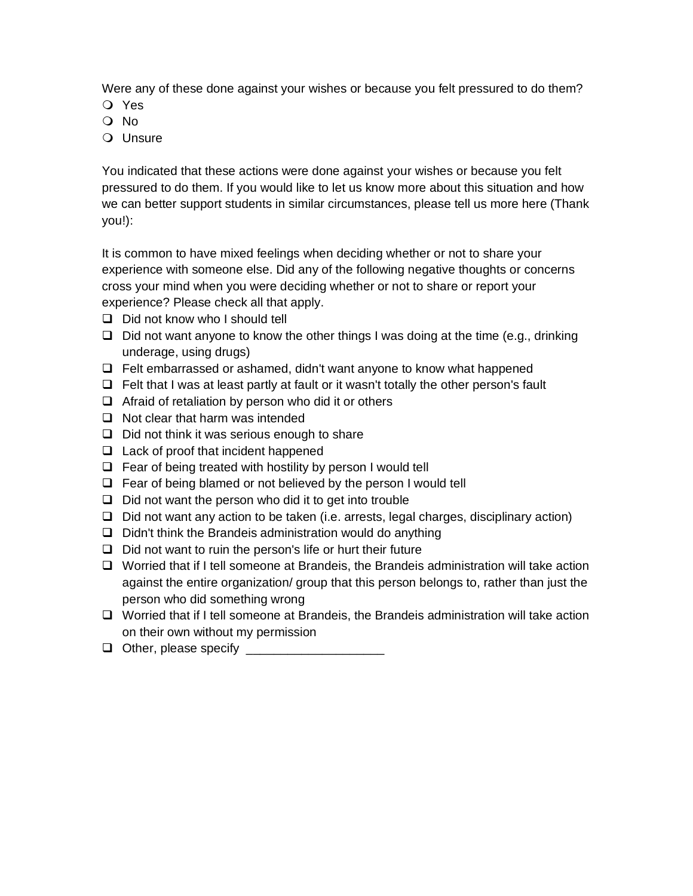Were any of these done against your wishes or because you felt pressured to do them?

- Yes
- No
- O Unsure

You indicated that these actions were done against your wishes or because you felt pressured to do them. If you would like to let us know more about this situation and how we can better support students in similar circumstances, please tell us more here (Thank you!):

It is common to have mixed feelings when deciding whether or not to share your experience with someone else. Did any of the following negative thoughts or concerns cross your mind when you were deciding whether or not to share or report your experience? Please check all that apply.

- ❑ Did not know who I should tell
- ❑ Did not want anyone to know the other things I was doing at the time (e.g., drinking underage, using drugs)
- ❑ Felt embarrassed or ashamed, didn't want anyone to know what happened
- ❑ Felt that I was at least partly at fault or it wasn't totally the other person's fault
- ❑ Afraid of retaliation by person who did it or others
- ❑ Not clear that harm was intended
- ❑ Did not think it was serious enough to share
- ❑ Lack of proof that incident happened
- ❑ Fear of being treated with hostility by person I would tell
- ❑ Fear of being blamed or not believed by the person I would tell
- ❑ Did not want the person who did it to get into trouble
- ❑ Did not want any action to be taken (i.e. arrests, legal charges, disciplinary action)
- ❑ Didn't think the Brandeis administration would do anything
- ❑ Did not want to ruin the person's life or hurt their future
- ❑ Worried that if I tell someone at Brandeis, the Brandeis administration will take action against the entire organization/ group that this person belongs to, rather than just the person who did something wrong
- ❑ Worried that if I tell someone at Brandeis, the Brandeis administration will take action on their own without my permission
- ❑ Other, please specify \_\_\_\_\_\_\_\_\_\_\_\_\_\_\_\_\_\_\_\_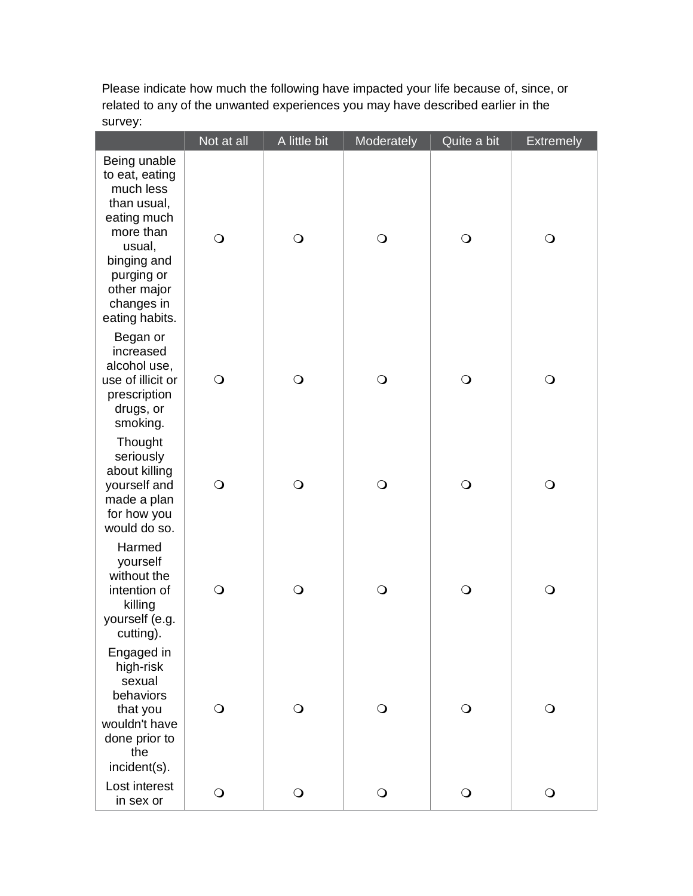Please indicate how much the following have impacted your life because of, since, or related to any of the unwanted experiences you may have described earlier in the survey:

|                                                                                                                                                                              | Not at all | A little bit | Moderately | Quite a bit | <b>Extremely</b> |
|------------------------------------------------------------------------------------------------------------------------------------------------------------------------------|------------|--------------|------------|-------------|------------------|
| Being unable<br>to eat, eating<br>much less<br>than usual,<br>eating much<br>more than<br>usual,<br>binging and<br>purging or<br>other major<br>changes in<br>eating habits. | $\bigcirc$ | $\bigcirc$   | $\bigcirc$ | $\bigcirc$  | $\bigcirc$       |
| Began or<br>increased<br>alcohol use,<br>use of illicit or<br>prescription<br>drugs, or<br>smoking.                                                                          | $\bigcirc$ | $\bigcirc$   | $\bigcirc$ | $\bigcirc$  | $\bigcirc$       |
| Thought<br>seriously<br>about killing<br>yourself and<br>made a plan<br>for how you<br>would do so.                                                                          | $\bigcirc$ | $\bigcirc$   | $\bigcirc$ | $\bigcirc$  | $\bigcirc$       |
| Harmed<br>yourself<br>without the<br>intention of<br>killing<br>yourself (e.g.<br>cutting).                                                                                  | $\bigcirc$ | $\bigcirc$   | $\bigcirc$ | $\bigcirc$  | $\bigcirc$       |
| Engaged in<br>high-risk<br>sexual<br>behaviors<br>that you<br>wouldn't have<br>done prior to<br>the<br>incident(s).                                                          | $\bigcirc$ | $\bigcirc$   | $\bigcirc$ | $\bigcirc$  | $\bigcirc$       |
| Lost interest<br>in sex or                                                                                                                                                   | $\bigcirc$ | $\bigcirc$   | $\bigcirc$ | $\bigcirc$  | $\bigcirc$       |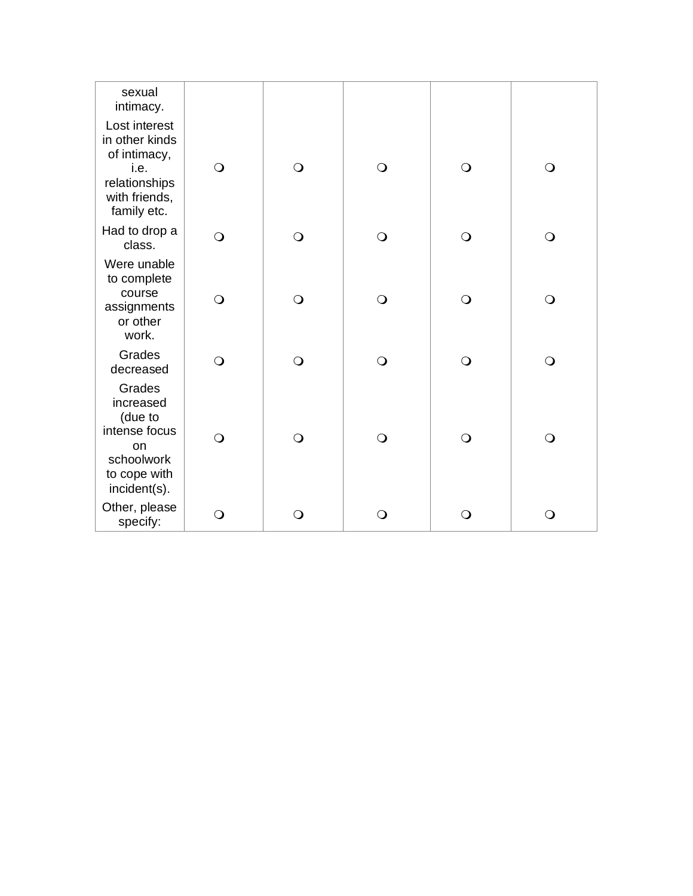| sexual<br>intimacy.                                                                                      |              |              |              |            |              |
|----------------------------------------------------------------------------------------------------------|--------------|--------------|--------------|------------|--------------|
| Lost interest<br>in other kinds<br>of intimacy,<br>i.e.<br>relationships<br>with friends,<br>family etc. | $\bigcirc$   | $\bigcirc$   | $\bigcirc$   | $\bigcirc$ | $\bigcirc$   |
| Had to drop a<br>class.                                                                                  | $\bigcirc$   | $\bigcirc$   | $\bigcirc$   | $\bigcirc$ | $\bigcirc$   |
| Were unable<br>to complete<br>course<br>assignments<br>or other<br>work.                                 | $\bigcirc$   | $\bigcirc$   | $\bigcirc$   | $\bigcirc$ | $\bigcirc$   |
| Grades<br>decreased                                                                                      | $\bigcirc$   | $\bigcirc$   | $\bigcirc$   | $\bigcirc$ | $\bigcirc$   |
| Grades<br>increased<br>(due to<br>intense focus<br>on<br>schoolwork<br>to cope with<br>incident(s).      | $\bigcirc$   | $\bigcirc$   | $\bigcirc$   | $\bigcirc$ | $\bigcirc$   |
| Other, please<br>specify:                                                                                | $\mathsf{O}$ | $\mathsf{O}$ | $\mathsf{O}$ | O          | $\mathsf{O}$ |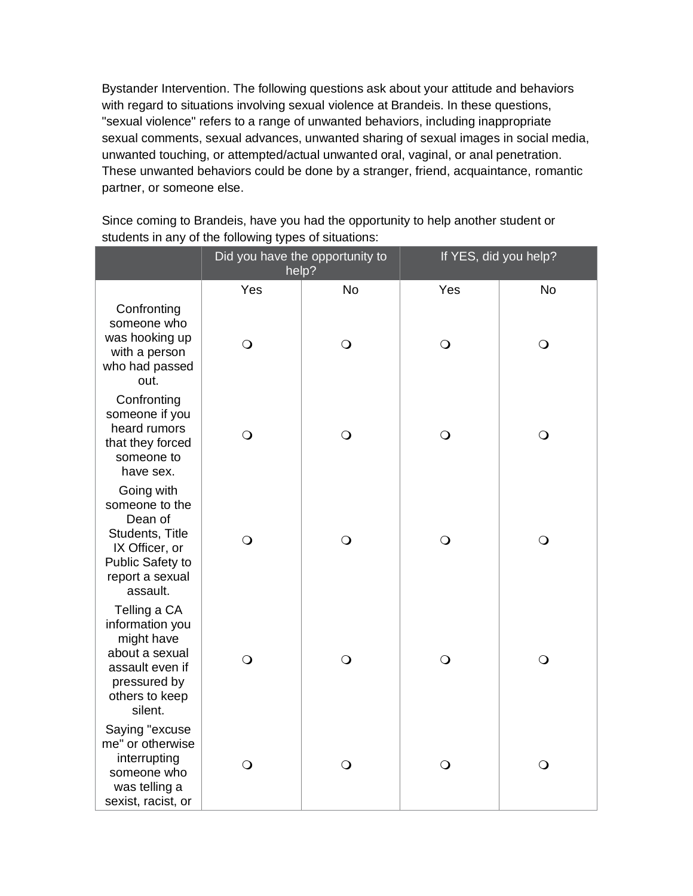Bystander Intervention. The following questions ask about your attitude and behaviors with regard to situations involving sexual violence at Brandeis. In these questions, "sexual violence" refers to a range of unwanted behaviors, including inappropriate sexual comments, sexual advances, unwanted sharing of sexual images in social media, unwanted touching, or attempted/actual unwanted oral, vaginal, or anal penetration. These unwanted behaviors could be done by a stranger, friend, acquaintance, romantic partner, or someone else.

|                                                                                                                                 | Did you have the opportunity to<br>help? |            | If YES, did you help? |            |
|---------------------------------------------------------------------------------------------------------------------------------|------------------------------------------|------------|-----------------------|------------|
|                                                                                                                                 | Yes                                      | No         | Yes                   | <b>No</b>  |
| Confronting<br>someone who<br>was hooking up<br>with a person<br>who had passed<br>out.                                         | $\bigcirc$                               | $\bigcirc$ | $\bigcirc$            | $\bigcirc$ |
| Confronting<br>someone if you<br>heard rumors<br>that they forced<br>someone to<br>have sex.                                    | $\bigcirc$                               | $\bigcirc$ | $\bigcirc$            | $\bigcirc$ |
| Going with<br>someone to the<br>Dean of<br>Students, Title<br>IX Officer, or<br>Public Safety to<br>report a sexual<br>assault. | $\bigcirc$                               | $\bigcirc$ | $\bigcirc$            | $\bigcirc$ |
| Telling a CA<br>information you<br>might have<br>about a sexual<br>assault even if<br>pressured by<br>others to keep<br>silent. | $\bigcirc$                               | $\bigcirc$ | $\bigcirc$            | $\bigcirc$ |
| Saying "excuse<br>me" or otherwise<br>interrupting<br>someone who<br>was telling a<br>sexist, racist, or                        | $\bigcirc$                               | $\bigcirc$ | $\bigcirc$            | $\bigcirc$ |

Since coming to Brandeis, have you had the opportunity to help another student or students in any of the following types of situations: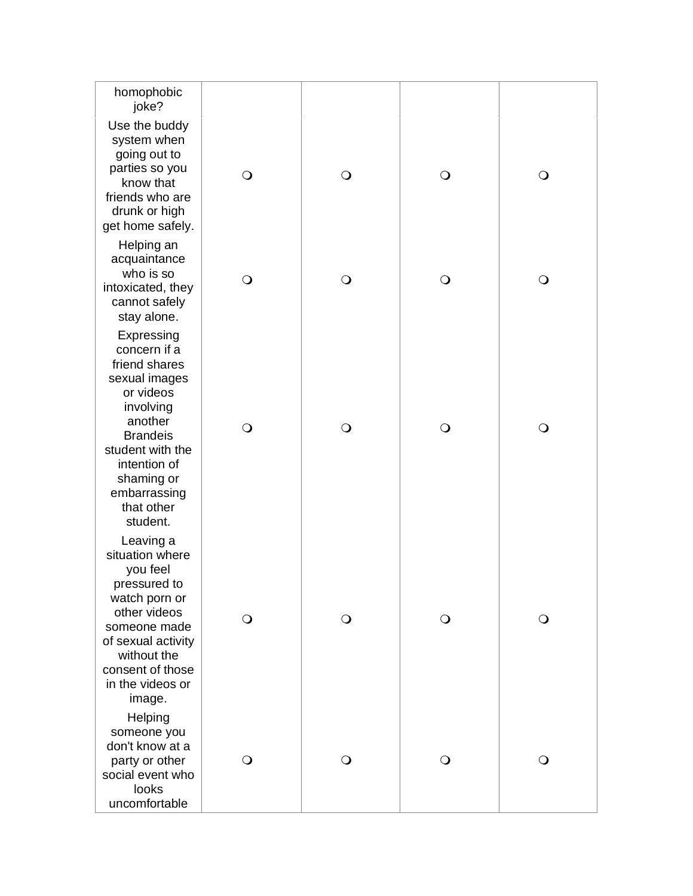| homophobic<br>joke?                                                                                                                                                                                              |              |              |            |            |
|------------------------------------------------------------------------------------------------------------------------------------------------------------------------------------------------------------------|--------------|--------------|------------|------------|
| Use the buddy<br>system when<br>going out to<br>parties so you<br>know that<br>friends who are<br>drunk or high<br>get home safely.                                                                              | $\bigcirc$   | $\bigcirc$   | $\bigcirc$ | $\bigcirc$ |
| Helping an<br>acquaintance<br>who is so<br>intoxicated, they<br>cannot safely<br>stay alone.                                                                                                                     | $\bigcirc$   | $\bigcirc$   | $\bigcirc$ | $\bigcirc$ |
| Expressing<br>concern if a<br>friend shares<br>sexual images<br>or videos<br>involving<br>another<br><b>Brandeis</b><br>student with the<br>intention of<br>shaming or<br>embarrassing<br>that other<br>student. | $\bigcirc$   | $\bigcirc$   | $\bigcirc$ | $\bigcirc$ |
| Leaving a<br>situation where<br>you feel<br>pressured to<br>watch porn or<br>other videos<br>someone made<br>of sexual activity<br>without the<br>consent of those<br>in the videos or<br>image.                 | $\mathsf{O}$ | $\mathbf{O}$ | $\circ$    | O          |
| Helping<br>someone you<br>don't know at a<br>party or other<br>social event who<br>looks<br>uncomfortable                                                                                                        | ○            | $\Omega$     | $\circ$    | O          |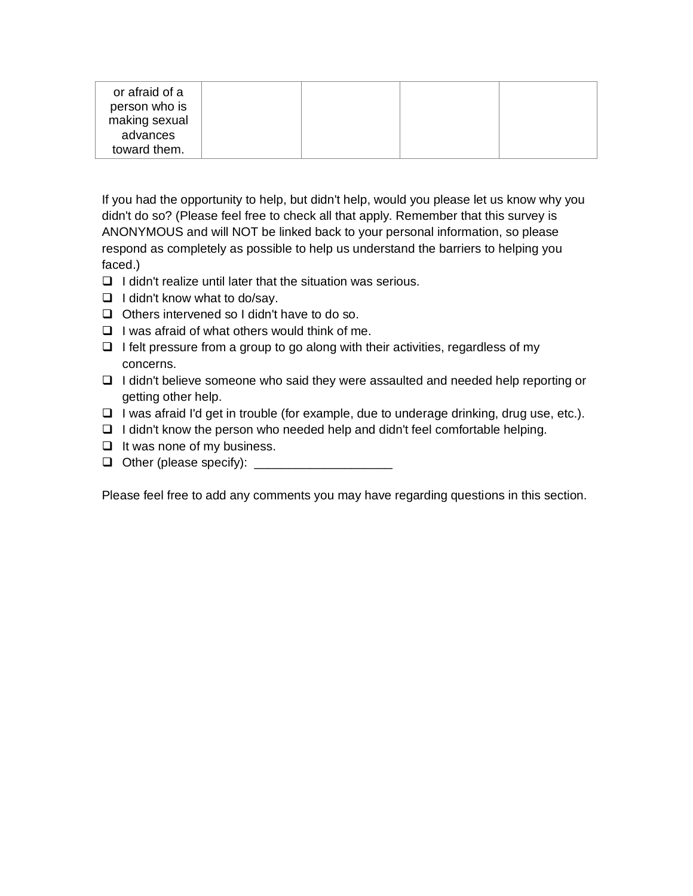| or afraid of a<br>person who is<br>making sexual<br>advances |  |  |
|--------------------------------------------------------------|--|--|
| toward them.                                                 |  |  |

If you had the opportunity to help, but didn't help, would you please let us know why you didn't do so? (Please feel free to check all that apply. Remember that this survey is ANONYMOUS and will NOT be linked back to your personal information, so please respond as completely as possible to help us understand the barriers to helping you faced.)

- ❑ I didn't realize until later that the situation was serious.
- ❑ I didn't know what to do/say.
- ❑ Others intervened so I didn't have to do so.
- ❑ I was afraid of what others would think of me.
- ❑ I felt pressure from a group to go along with their activities, regardless of my concerns.
- ❑ I didn't believe someone who said they were assaulted and needed help reporting or getting other help.
- ❑ I was afraid I'd get in trouble (for example, due to underage drinking, drug use, etc.).
- ❑ I didn't know the person who needed help and didn't feel comfortable helping.
- ❑ It was none of my business.
- ❑ Other (please specify): \_\_\_\_\_\_\_\_\_\_\_\_\_\_\_\_\_\_\_\_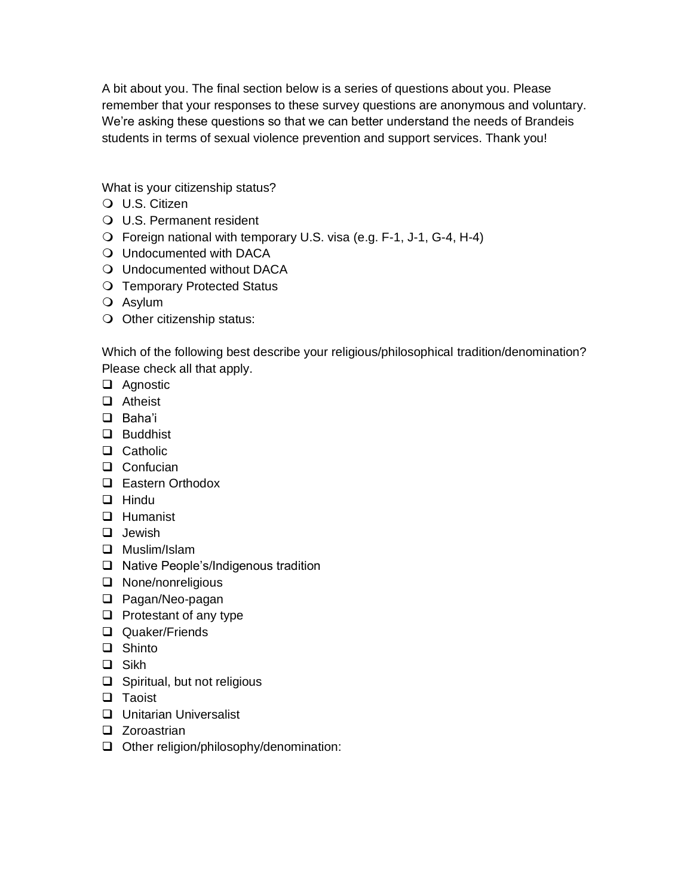A bit about you. The final section below is a series of questions about you. Please remember that your responses to these survey questions are anonymous and voluntary. We're asking these questions so that we can better understand the needs of Brandeis students in terms of sexual violence prevention and support services. Thank you!

What is your citizenship status?

- U.S. Citizen
- U.S. Permanent resident
- Foreign national with temporary U.S. visa (e.g. F-1, J-1, G-4, H-4)
- Undocumented with DACA
- Undocumented without DACA
- O Temporary Protected Status
- Asylum
- $\bigcirc$  Other citizenship status:

Which of the following best describe your religious/philosophical tradition/denomination? Please check all that apply.

- ❑ Agnostic
- ❑ Atheist
- ❑ Baha'i
- ❑ Buddhist
- ❑ Catholic
- ❑ Confucian
- ❑ Eastern Orthodox
- ❑ Hindu
- ❑ Humanist
- ❑ Jewish
- ❑ Muslim/Islam
- ❑ Native People's/Indigenous tradition
- ❑ None/nonreligious
- ❑ Pagan/Neo-pagan
- ❑ Protestant of any type
- ❑ Quaker/Friends
- ❑ Shinto
- ❑ Sikh
- ❑ Spiritual, but not religious
- ❑ Taoist
- ❑ Unitarian Universalist
- ❑ Zoroastrian
- ❑ Other religion/philosophy/denomination: